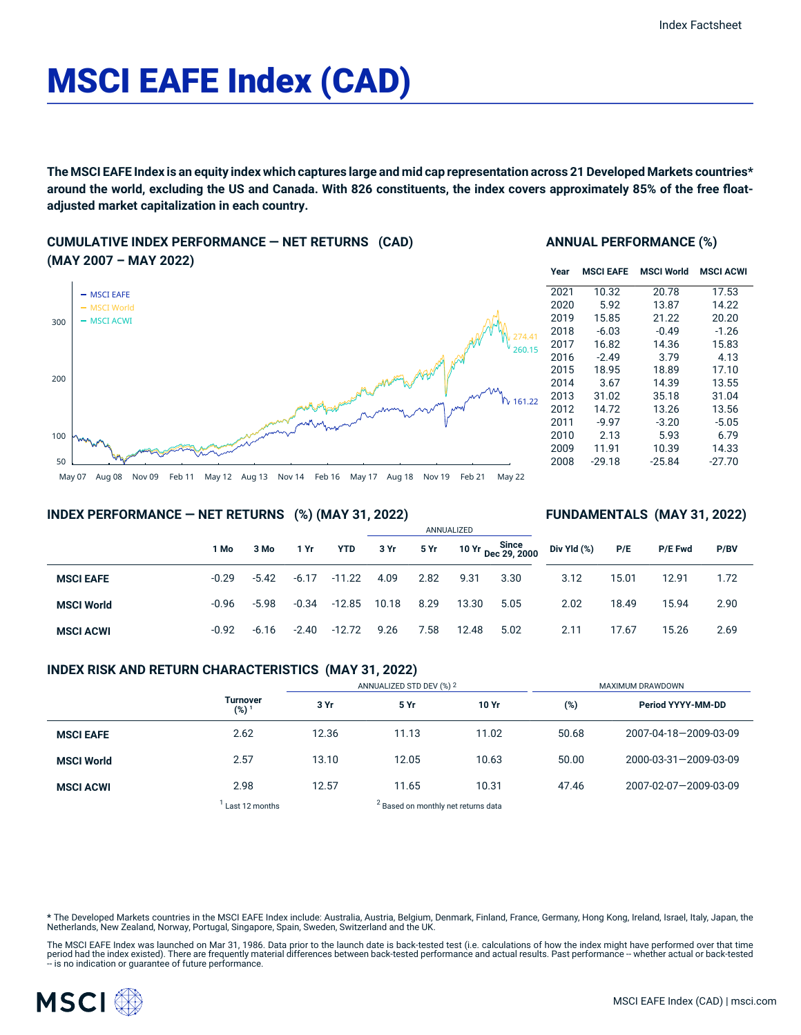# MSCI EAFE Index (CAD)

The MSCI EAFE Index is an equity index which captures large and mid cap representation across 21 Developed Markets countries\* around the world, excluding the US and Canada. With 826 constituents, the index covers approximately 85% of the free float**adjusted market capitalization in each country.**

### **CUMULATIVE INDEX PERFORMANCE — NET RETURNS (CAD) (MAY 2007 – MAY 2022)**



#### **ANNUAL PERFORMANCE (%)**

| Year | <b>MSCI EAFE</b> | <b>MSCI World</b> | <b>MSCI ACWI</b> |
|------|------------------|-------------------|------------------|
| 2021 | 10.32            | 20.78             | 17.53            |
| 2020 | 5.92             | 13.87             | 14.22            |
| 2019 | 15.85            | 21.22             | 20.20            |
| 2018 | $-6.03$          | $-0.49$           | $-1.26$          |
| 2017 | 16.82            | 14.36             | 15.83            |
| 2016 | $-2.49$          | 3.79              | 4.13             |
| 2015 | 18.95            | 18.89             | 17.10            |
| 2014 | 3.67             | 14.39             | 13.55            |
| 2013 | 31.02            | 35.18             | 31.04            |
| 2012 | 14.72            | 13.26             | 13.56            |
| 2011 | $-9.97$          | $-3.20$           | $-5.05$          |
| 2010 | 2.13             | 5.93              | 6.79             |
| 2009 | 11.91            | 10.39             | 14.33            |
| 2008 | $-29.18$         | $-25.84$          | $-27.70$         |

**FUNDAMENTALS (MAY 31, 2022)**

#### **INDEX PERFORMANCE — NET RETURNS (%) (MAY 31, 2022)**

|                   |         |         |         |            | ANNUALIZED |      |       |                                   |             |       |                |      |  |
|-------------------|---------|---------|---------|------------|------------|------|-------|-----------------------------------|-------------|-------|----------------|------|--|
|                   | 1 Mo    | 3 Mo    | 1 Yr    | <b>YTD</b> | 3 Yr       | 5 Yr |       | 10 Yr Since<br>10 Yr Dec 29, 2000 | Div Yld (%) | P/E   | <b>P/E Fwd</b> | P/BV |  |
| <b>MSCI EAFE</b>  | $-0.29$ | $-5.42$ | $-6.17$ | $-11.22$   | 4.09       | 2.82 | 9.31  | 3.30                              | 3.12        | 15.01 | 12.91          | 1.72 |  |
| <b>MSCI World</b> | $-0.96$ | $-5.98$ | $-0.34$ | -12.85     | 10.18      | 8.29 | 13.30 | 5.05                              | 2.02        | 18.49 | 15.94          | 2.90 |  |
| <b>MSCI ACWI</b>  | $-0.92$ | $-6.16$ | $-2.40$ | $-12.72$   | 9.26       | 7.58 | 12.48 | 5.02                              | 2.11        | 17.67 | 15.26          | 2.69 |  |

#### **INDEX RISK AND RETURN CHARACTERISTICS (MAY 31, 2022)**

|                   |                                     | ANNUALIZED STD DEV (%) 2 |                                                |       | MAXIMUM DRAWDOWN |                       |  |  |
|-------------------|-------------------------------------|--------------------------|------------------------------------------------|-------|------------------|-----------------------|--|--|
|                   | <b>Turnover</b><br>(%) <sup>1</sup> | 3 Yr                     | 5 Yr                                           | 10 Yr | (%)              | Period YYYY-MM-DD     |  |  |
| <b>MSCI EAFE</b>  | 2.62                                | 12.36                    | 11.13                                          | 11.02 | 50.68            | 2007-04-18-2009-03-09 |  |  |
| <b>MSCI World</b> | 2.57                                | 13.10                    | 12.05                                          | 10.63 | 50.00            | 2000-03-31-2009-03-09 |  |  |
| <b>MSCI ACWI</b>  | 2.98                                | 12.57                    | 11.65                                          | 10.31 | 47.46            | 2007-02-07-2009-03-09 |  |  |
|                   | Last 12 months                      |                          | <sup>2</sup> Based on monthly net returns data |       |                  |                       |  |  |

**\*** The Developed Markets countries in the MSCI EAFE Index include: Australia, Austria, Belgium, Denmark, Finland, France, Germany, Hong Kong, Ireland, Israel, Italy, Japan, the Netherlands, New Zealand, Norway, Portugal, Singapore, Spain, Sweden, Switzerland and the UK.

The MSCI EAFE Index was launched on Mar 31, 1986. Data prior to the launch date is back-tested test (i.e. calculations of how the index might have performed over that time<br>period had the index existed). There are frequentl

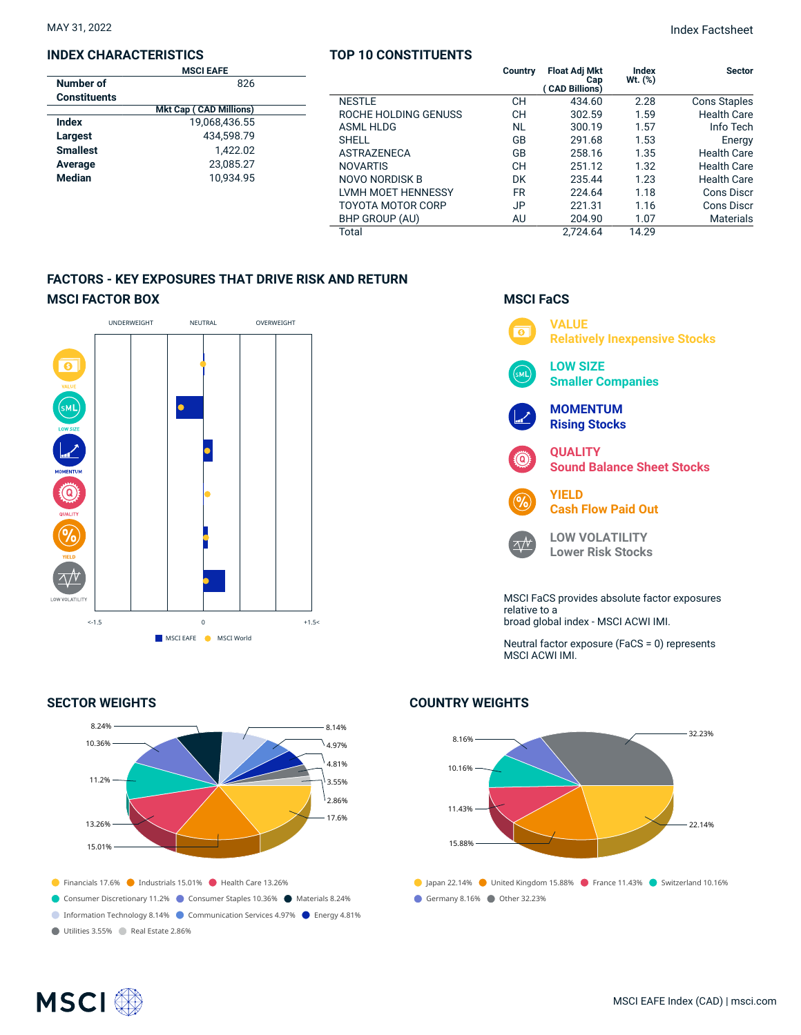#### **INDEX CHARACTERISTICS**

|                     | <b>MSCI EAFE</b>              |  |
|---------------------|-------------------------------|--|
| Number of           | 826                           |  |
| <b>Constituents</b> |                               |  |
|                     | <b>Mkt Cap (CAD Millions)</b> |  |
| Index               | 19.068.436.55                 |  |
| Largest             | 434.598.79                    |  |
| <b>Smallest</b>     | 1.422.02                      |  |
| Average             | 23,085.27                     |  |
| <b>Median</b>       | 10.934.95                     |  |
|                     |                               |  |

#### **TOP 10 CONSTITUENTS**

|                          | Country   | <b>Float Adj Mkt</b><br>Cap<br>( CAD Billions) | Index<br>Wt. (%) | <b>Sector</b>       |
|--------------------------|-----------|------------------------------------------------|------------------|---------------------|
| <b>NESTLE</b>            | CН        | 434.60                                         | 2.28             | <b>Cons Staples</b> |
| ROCHE HOLDING GENUSS     | CН        | 302.59                                         | 1.59             | <b>Health Care</b>  |
| <b>ASML HLDG</b>         | <b>NL</b> | 300.19                                         | 1.57             | Info Tech           |
| <b>SHELL</b>             | GB        | 291.68                                         | 1.53             | Energy              |
| <b>ASTRAZENECA</b>       | GB        | 258.16                                         | 1.35             | <b>Health Care</b>  |
| <b>NOVARTIS</b>          | CН        | 251.12                                         | 1.32             | <b>Health Care</b>  |
| NOVO NORDISK B           | DK        | 235.44                                         | 1.23             | <b>Health Care</b>  |
| LVMH MOET HENNESSY       | <b>FR</b> | 224.64                                         | 1.18             | Cons Discr          |
| <b>TOYOTA MOTOR CORP</b> | JP        | 221.31                                         | 1.16             | <b>Cons Discr</b>   |
| BHP GROUP (AU)           | AU        | 204.90                                         | 1.07             | <b>Materials</b>    |
| Total                    |           | 2.724.64                                       | 14.29            |                     |

## **FACTORS - KEY EXPOSURES THAT DRIVE RISK AND RETURN MSCI FACTOR BOX**



#### **SECTOR WEIGHTS**



# **MSCI FaCS**



Neutral factor exposure (FaCS = 0) represents MSCI ACWI IMI.

#### **COUNTRY WEIGHTS**



# **MSCI**<sup>®</sup>